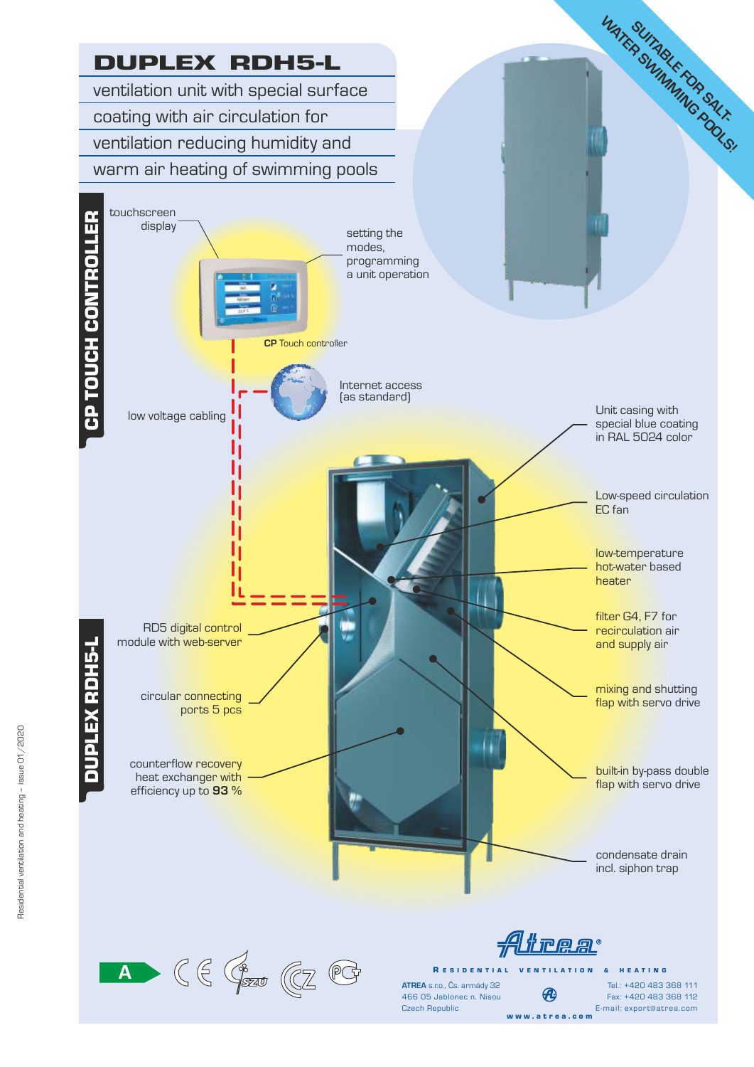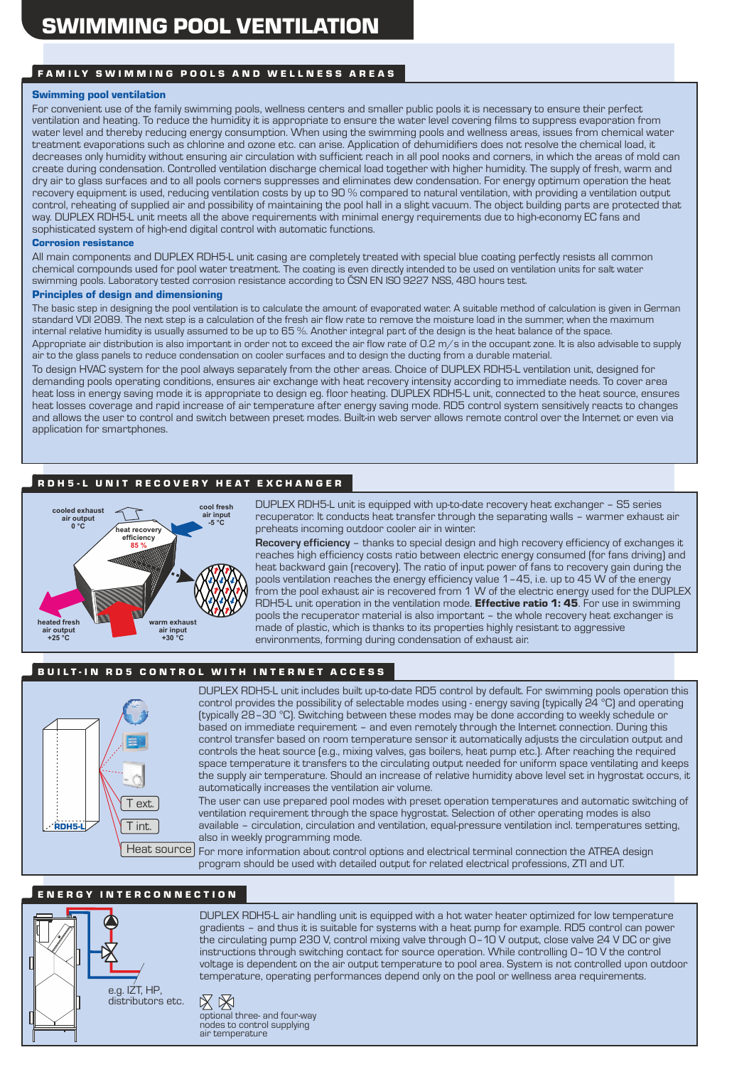#### FAMILY SWIMMING POOLS AND WELLNESS AREAS

#### Swimming pool ventilation

For convenient use of the family swimming pools, wellness centers and smaller public pools it is necessary to ensure their perfect ventilation and heating. To reduce the humidity it is appropriate to ensure the water level covering films to suppress evaporation from water level and thereby reducing energy consumption. When using the swimming pools and wellness areas, issues from chemical water treatment evaporations such as chlorine and ozone etc. can arise. Application of dehumidifiers does not resolve the chemical load, it decreases only humidity without ensuring air circulation with sufficient reach in all pool nooks and corners, in which the areas of mold can create during condensation. Controlled ventilation discharge chemical load together with higher humidity. The supply of fresh, warm and dry air to glass surfaces and to all pools corners suppresses and eliminates dew condensation. For energy optimum operation the heat recovery equipment is used, reducing ventilation costs by up to 90 % compared to natural ventilation, with providing a ventilation output control, reheating of supplied air and possibility of maintaining the pool hall in a slight vacuum. The object building parts are protected that way. DUPLEX RDH5-L unit meets all the above requirements with minimal energy requirements due to high-economy EC fans and sophisticated system of high-end digital control with automatic functions.

#### Corrosion resistance

All main components and DUPLEX RDH5-L unit casing are completely treated with special blue coating perfectly resists all common chemical compounds used for pool water treatment. The coating is even directly intended to be used on ventilation units for salt water swimming pools. Laboratory tested corrosion resistance according to ČSN EN ISO 9227 NSS, 480 hours test.

#### Principles of design and dimensioning

The basic step in designing the pool ventilation is to calculate the amount of evaporated water. A suitable method of calculation is given in German standard VDI 2089. The next step is a calculation of the fresh air flow rate to remove the moisture load in the summer, when the maximum internal relative humidity is usually assumed to be up to 65 %. Another integral part of the design is the heat balance of the space.

Appropriate air distribution is also important in order not to exceed the air flow rate of O.2 m/s in the occupant zone. It is also advisable to supply air to the glass panels to reduce condensation on cooler surfaces and to design the ducting from a durable material.

To design HVAC system for the pool always separately from the other areas. Choice of DUPLEX RDH5-L ventilation unit, designed for demanding pools operating conditions, ensures air exchange with heat recovery intensity according to immediate needs. To cover area heat loss in energy saving mode it is appropriate to design eg. floor heating. DUPLEX RDH5-L unit, connected to the heat source, ensures heat losses coverage and rapid increase of air temperature after energy saving mode. RD5 control system sensitively reacts to changes and allows the user to control and switch between preset modes. Built-in web server allows remote control over the Internet or even via application for smartphones.

### R D H 5 - L U N IT R E C O V E R Y H E A T E X C H A N G E R



DUPLEX RDH5-L unit is equipped with up-to-date recovery heat exchanger – S5 series recuperator. It conducts heat transfer through the separating walls – warmer exhaust air preheats incoming outdoor cooler air in winter.

**Recovery efficiency** – thanks to special design and high recovery efficiency of exchanges it reaches high efficiency costs ratio between electric energy consumed (for fans driving) and heat backward gain (recovery). The ratio of input power of fans to recovery gain during the pools ventilation reaches the energy efficiency value 1–45, i.e. up to 45 W of the energy from the pool exhaust air is recovered from 1 W of the electric energy used for the DUPLEX RDH5-L unit operation in the ventilation mode. **Effective ratio 1: 45**. For use in swimming pools the recuperator material is also important – the whole recovery heat exchanger is made of plastic, which is thanks to its properties highly resistant to aggressive environments, forming during condensation of exhaust air.

#### BUILT-IN RD5 CONTROL WITH INTERNET ACCESS



DUPLEX RDH5-L unit includes built up-to-date RD5 control by default. For swimming pools operation this control provides the possibility of selectable modes using - energy saving (typically 24 °C) and operating (typically 28–30 °C). Switching between these modes may be done according to weekly schedule or based on immediate requirement – and even remotely through the Internet connection. During this control transfer based on room temperature sensor it automatically adjusts the circulation output and controls the heat source (e.g., mixing valves, gas boilers, heat pump etc.). After reaching the required space temperature it transfers to the circulating output needed for uniform space ventilating and keeps the supply air temperature. Should an increase of relative humidity above level set in hygrostat occurs, it automatically increases the ventilation air volume.

The user can use prepared pool modes with preset operation temperatures and automatic switching of ventilation requirement through the space hygrostat. Selection of other operating modes is also available – circulation, circulation and ventilation, equal-pressure ventilation incl. temperatures setting, also in weekly programming mode.

For more information about control options and electrical terminal connection the ATREA design program should be used with detailed output for related electrical professions, ZTI and UT. Heat source

#### E N E R G Y I N T E R C O N N E C T I O N





DUPLEX RDH5-L air handling unit is equipped with a hot water heater optimized for low temperature gradients – and thus it is suitable for systems with a heat pump for example. RD5 control can power the circulating pump 230 V, control mixing valve through 0–10 V output, close valve 24 V DC or give instructions through switching contact for source operation. While controlling 0–10 V the control voltage is dependent on the air output temperature to pool area. System is not controlled upon outdoor temperature, operating performances depend only on the pool or wellness area requirements.

optional three- and four-way nodes to control supplying air temperature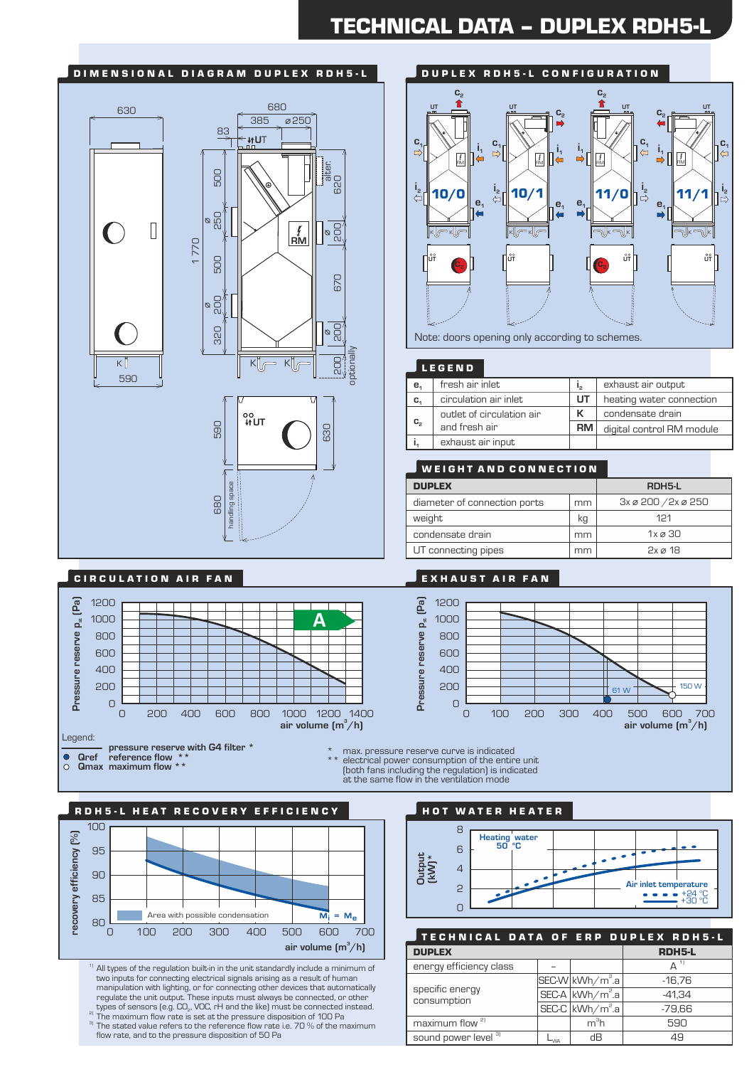# TECHNICAL DATA – DUPLEX RDH5-L

#### DIMENSIONAL DIAGRAM DUPLEX RDH5-L 680 630 385 250 83 **U**T alter.<br>620 500 200 500 250 500  $\begin{picture}(120,17) \put(0,0){\line(1,0){155}} \put(15,0){\line(1,0){155}} \put(15,0){\line(1,0){155}} \put(15,0){\line(1,0){155}} \put(15,0){\line(1,0){155}} \put(15,0){\line(1,0){155}} \put(15,0){\line(1,0){155}} \put(15,0){\line(1,0){155}} \put(15,0){\line(1,0){155}} \put(15,0){\line(1,0){155}} \put(15,0){\line(1,0){155}}$  $\frac{25}{9}$  $\sqrt{2}$ **RM** 1 770 500 670 goo  $\infty$ 320 81  $\overline{\circ}$  $\overline{\mathsf{B}}$ optional  $K$  $K$ K 590 ००<br>**↓↑UT** 590 630 handling space



Note: doors opening only according to schemes.

| ND<br>Е | r,<br>a<br>E. |
|---------|---------------|

| e <sub>1</sub> | fresh air inlet           | ر ا  | exhaust air output        |
|----------------|---------------------------|------|---------------------------|
| C,             | circulation air inlet     | UT   | heating water connection  |
| $C_{2}$        | outlet of circulation air | к    | condensate drain          |
|                | and fresh air             | RM I | digital control RM module |
|                | exhaust air input         |      |                           |

| <b>WEIGHT AND CONNECTION</b> |                     |                                   |  |  |  |  |
|------------------------------|---------------------|-----------------------------------|--|--|--|--|
| <b>DUPLEX</b>                | RDH <sub>5</sub> -L |                                   |  |  |  |  |
| diameter of connection ports | mm                  | $3x \otimes 200 / 2x \otimes 250$ |  |  |  |  |
| weight                       | kg                  | 121                               |  |  |  |  |
| condensate drain             | mm                  | $1x \varnothing 30$               |  |  |  |  |
| UT connecting pipes          | mm                  | $2x \alpha$ 18                    |  |  |  |  |



## C I R C U L A T I O N A I R F A N E X H A U S T A I R F A N



680<br>088<br>088

**COMPT 4 FOR THE PRESSURE RESERVE WITH G4 filter \***<br> **Qref reference flow \*\* pressure the pressure reserve curve** is indicated **pressure reserve curve** is indicated

**Qmax pressure reserve curve is indicated**<br> **Qmax maximum flow \*\*** electrical power consumption of the entire unit<br>
At the entire indicated power consumption of the entire entire entire the entire entire entire entire enti (both fans including the regulation) is indicated at the same flow in the ventilation mode



 $\rm ^{11}$  All types of the regulation built-in in the unit standardly include a minimum of two inputs for connecting electrical signals arising as a result of human manipulation with lighting, or for connecting other devices that automatically regulate the unit output. These inputs must always be connected, or other<br>types of sensors (e.g. CO<sub>2</sub>, VOC, rH and the like) must be connected instead. 2) The maximum flow rate is set at the pressure disposition of 100 Pa

 $3$  The stated value refers to the reference flow rate i.e. 70  $\%$  of the maximum flow rate, and to the pressure disposition of 50 Pa

HOT WATER HEATER



| TECHNICAL DATA OF ERP DUPLEX RDH5-L |               |                               |               |
|-------------------------------------|---------------|-------------------------------|---------------|
| <b>DUPLEX</b>                       | <b>RDH5-L</b> |                               |               |
| energy efficiency class             |               |                               | $\Delta^{-1}$ |
|                                     |               | SEC-W kWh/m <sup>2</sup> .a   | $-16.76$      |
| specific energy<br>consumption      |               | $SEC-A kWh/m^2.a $            | $-41.34$      |
|                                     |               | $SEC-C$ kWh/m <sup>2</sup> .a | $-79,66$      |
| maximum flow <sup>2]</sup>          |               | m <sup>3</sup> h              | 590           |
| sound power level 3)                | $-w$          | dВ                            | 49            |